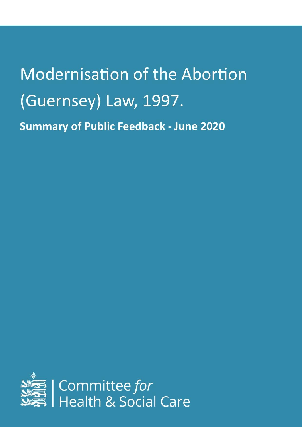# **Modernisation of the Abortion** (Guernsey) Law, 1997. **Summary of Public Feedback - June 2020**

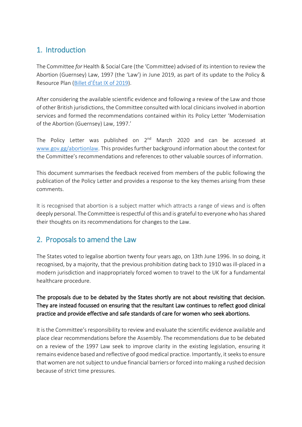# 1. Introduction

The Committee *for* Health & Social Care (the 'Committee) advised of its intention to review the Abortion (Guernsey) Law, 1997 (the 'Law') in June 2019, as part of its update to the Policy & Resource Plan ([Billet d'État IX of 2019](https://www.gov.gg/CHttpHandler.ashx?id=119212&p=0)).

After considering the available scientific evidence and following a review of the Law and those of other British jurisdictions, the Committee consulted with local clinicians involved in abortion services and formed the recommendations contained within its Policy Letter 'Modernisation of the Abortion (Guernsey) Law, 1997.'

The Policy Letter was published on  $2^{nd}$  March 2020 and can be accessed at [www.gov.gg/abortionlaw.](http://www.gov.gg/abortionlaw) This provides further background information about the context for the Committee's recommendations and references to other valuable sources of information.

This document summarises the feedback received from members of the public following the publication of the Policy Letter and provides a response to the key themes arising from these comments.

It is recognised that abortion is a subject matter which attracts a range of views and is often deeply personal. The Committee is respectful of this and is grateful to everyone who has shared their thoughts on its recommendations for changes to the Law.

## 2. Proposals to amend the Law

The States voted to legalise abortion twenty four years ago, on 13th June 1996. In so doing, it recognised, by a majority, that the previous prohibition dating back to 1910 was ill-placed in a modern jurisdiction and inappropriately forced women to travel to the UK for a fundamental healthcare procedure.

#### The proposals due to be debated by the States shortly are not about revisiting that decision. They are instead focussed on ensuring that the resultant Law continues to reflect good clinical practice and provide effective and safe standards of care for women who seek abortions.

It is the Committee's responsibility to review and evaluate the scientific evidence available and place clear recommendations before the Assembly. The recommendations due to be debated on a review of the 1997 Law seek to improve clarity in the existing legislation, ensuring it remains evidence based and reflective of good medical practice. Importantly, it seeks to ensure that women are not subject to undue financial barriers or forced into making a rushed decision because of strict time pressures.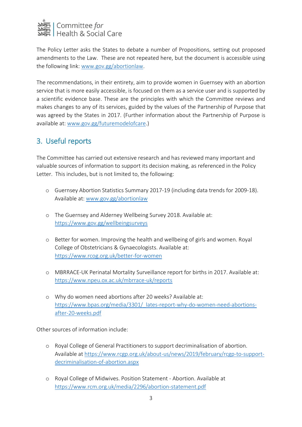

The Policy Letter asks the States to debate a number of Propositions, setting out proposed amendments to the Law. These are not repeated here, but the document is accessible using the following link: [www.gov.gg/abortionlaw.](http://www.gov.gg/abortionlaw)

The recommendations, in their entirety, aim to provide women in Guernsey with an abortion service that is more easily accessible, is focused on them as a service user and is supported by a scientific evidence base. These are the principles with which the Committee reviews and makes changes to any of its services, guided by the values of the Partnership of Purpose that was agreed by the States in 2017. (Further information about the Partnership of Purpose is available at: [www.gov.gg/futuremodelofcare.](http://www.gov.gg/futuremodelofcare))

## 3. Useful reports

The Committee has carried out extensive research and has reviewed many important and valuable sources of information to support its decision making, as referenced in the Policy Letter. This includes, but is not limited to, the following:

- o Guernsey Abortion Statistics Summary 2017-19 (including data trends for 2009-18). Available at: [www.gov.gg/abortionlaw](http://www.gov.gg/abortionlaw)
- o The Guernsey and Alderney Wellbeing Survey 2018. Available at: <https://www.gov.gg/wellbeingsurveys>
- o Better for women. Improving the health and wellbeing of girls and women. Royal College of Obstetricians & Gynaecologists. Available at: <https://www.rcog.org.uk/better-for-women>
- o MBRRACE-UK Perinatal Mortality Surveillance report for births in 2017. Available at: <https://www.npeu.ox.ac.uk/mbrrace-uk/reports>
- o Why do women need abortions after 20 weeks? Available at: https://www.bpas.org/media/3301/ lates-report-why-do-women-need-abortions[after-20-weeks.pdf](https://www.bpas.org/media/3301/_lates-report-why-do-women-need-abortions-after-20-weeks.pdf)

Other sources of information include:

- o Royal College of General Practitioners to support decriminalisation of abortion. Available a[t https://www.rcgp.org.uk/about-us/news/2019/february/rcgp-to-support](https://www.rcgp.org.uk/about-us/news/2019/february/rcgp-to-support-decriminalisation-of-abortion.aspx)[decriminalisation-of-abortion.aspx](https://www.rcgp.org.uk/about-us/news/2019/february/rcgp-to-support-decriminalisation-of-abortion.aspx)
- o Royal College of Midwives. Position Statement Abortion. Available at <https://www.rcm.org.uk/media/2296/abortion-statement.pdf>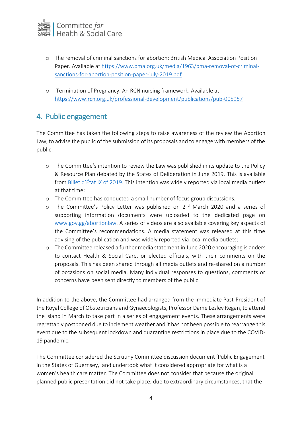

- o The removal of criminal sanctions for abortion: British Medical Association Position Paper. Available at [https://www.bma.org.uk/media/1963/bma-removal-of-criminal](https://www.bma.org.uk/media/1963/bma-removal-of-criminal-sanctions-for-abortion-position-paper-july-2019.pdf)[sanctions-for-abortion-position-paper-july-2019.pdf](https://www.bma.org.uk/media/1963/bma-removal-of-criminal-sanctions-for-abortion-position-paper-july-2019.pdf)
- o Termination of Pregnancy. An RCN nursing framework. Available at: <https://www.rcn.org.uk/professional-development/publications/pub-005957>

### 4. Public engagement

The Committee has taken the following steps to raise awareness of the review the Abortion Law, to advise the public of the submission of its proposals and to engage with members of the public:

- o The Committee's intention to review the Law was published in its update to the Policy & Resource Plan debated by the States of Deliberation in June 2019. This is available from [Billet d'État IX of 2019](https://www.gov.gg/CHttpHandler.ashx?id=119212&p=0). This intention was widely reported via local media outlets at that time;
- o The Committee has conducted a small number of focus group discussions;
- o The Committee's Policy Letter was published on 2<sup>nd</sup> March 2020 and a series of supporting information documents were uploaded to the dedicated page on [www.gov.gg/abortionlaw.](http://www.gov.gg/abortionlaw) A series of videos are also available covering key aspects of the Committee's recommendations. A media statement was released at this time advising of the publication and was widely reported via local media outlets;
- o The Committee released a further media statement in June 2020 encouraging islanders to contact Health & Social Care, or elected officials, with their comments on the proposals. This has been shared through all media outlets and re-shared on a number of occasions on social media. Many individual responses to questions, comments or concerns have been sent directly to members of the public.

In addition to the above, the Committee had arranged from the immediate Past-President of the Royal College of Obstetricians and Gynaecologists, Professor Dame Lesley Regan, to attend the Island in March to take part in a series of engagement events. These arrangements were regrettably postponed due to inclement weather and it has not been possible to rearrange this event due to the subsequent lockdown and quarantine restrictions in place due to the COVID-19 pandemic.

The Committee considered the Scrutiny Committee discussion document 'Public Engagement in the States of Guernsey,' and undertook what it considered appropriate for what is a women's health care matter. The Committee does not consider that because the original planned public presentation did not take place, due to extraordinary circumstances, that the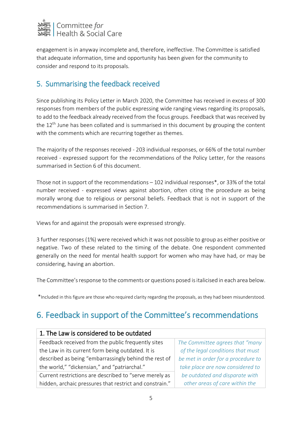

engagement is in anyway incomplete and, therefore, ineffective. The Committee is satisfied that adequate information, time and opportunity has been given for the community to consider and respond to its proposals.

# 5. Summarising the feedback received

Since publishing its Policy Letter in March 2020, the Committee has received in excess of 300 responses from members of the public expressing wide ranging views regarding its proposals, to add to the feedback already received from the focus groups. Feedback that was received by the  $12<sup>th</sup>$  June has been collated and is summarised in this document by grouping the content with the comments which are recurring together as themes.

The majority of the responses received - 203 individual responses, or 66% of the total number received - expressed support for the recommendations of the Policy Letter, for the reasons summarised in Section 6 of this document.

Those not in support of the recommendations – 102 individual responses\*, or 33% of the total number received - expressed views against abortion, often citing the procedure as being morally wrong due to religious or personal beliefs. Feedback that is not in support of the recommendations is summarised in Section 7.

Views for and against the proposals were expressed strongly.

3 further responses (1%) were received which it was not possible to group as either positive or negative. Two of these related to the timing of the debate. One respondent commented generally on the need for mental health support for women who may have had, or may be considering, having an abortion.

The Committee's response to the comments or questions posed is italicised in each area below.

\*Included in this figure are those who required clarity regarding the proposals, as they had been misunderstood.

# 6. Feedback in support of the Committee's recommendations

| 1. The Law is considered to be outdated                 |                                    |
|---------------------------------------------------------|------------------------------------|
| Feedback received from the public frequently sites      | The Committee agrees that "many    |
| the Law in its current form being outdated. It is       | of the legal conditions that must  |
| described as being "embarrassingly behind the rest of   | be met in order for a procedure to |
| the world," "dickensian," and "patriarchal."            | take place are now considered to   |
| Current restrictions are described to "serve merely as  | be outdated and disparate with     |
| hidden, archaic pressures that restrict and constrain." | other areas of care within the     |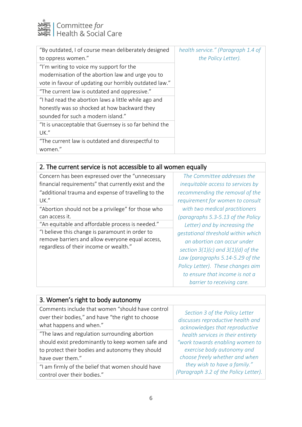

| "By outdated, I of course mean deliberately designed   | health service." (Paragraph 1.4 of |
|--------------------------------------------------------|------------------------------------|
| to oppress women."                                     | the Policy Letter).                |
| "I'm writing to voice my support for the               |                                    |
| modernisation of the abortion law and urge you to      |                                    |
| vote in favour of updating our horribly outdated law." |                                    |
| "The current law is outdated and oppressive."          |                                    |
| "I had read the abortion laws a little while ago and   |                                    |
| honestly was so shocked at how backward they           |                                    |
| sounded for such a modern island."                     |                                    |
| "It is unacceptable that Guernsey is so far behind the |                                    |
| UK."                                                   |                                    |
| "The current law is outdated and disrespectful to      |                                    |
| women."                                                |                                    |

# 2. The current service is not accessible to all women equally

| Concern has been expressed over the "unnecessary                                                                                              | The Committee addresses the                                                                                                                                                                                                                          |
|-----------------------------------------------------------------------------------------------------------------------------------------------|------------------------------------------------------------------------------------------------------------------------------------------------------------------------------------------------------------------------------------------------------|
| financial requirements" that currently exist and the                                                                                          | inequitable access to services by                                                                                                                                                                                                                    |
| "additional trauma and expense of travelling to the                                                                                           | recommending the removal of the                                                                                                                                                                                                                      |
| UK."                                                                                                                                          | requirement for women to consult                                                                                                                                                                                                                     |
| "Abortion should not be a privilege" for those who                                                                                            | with two medical practitioners                                                                                                                                                                                                                       |
| can access it.                                                                                                                                | (paragraphs 5.3-5.13 of the Policy                                                                                                                                                                                                                   |
| "An equitable and affordable process is needed."                                                                                              | Letter) and by increasing the                                                                                                                                                                                                                        |
| "I believe this change is paramount in order to<br>remove barriers and allow everyone equal access,<br>regardless of their income or wealth." | gestational threshold within which<br>an abortion can occur under<br>section $3(1)(c)$ and $3(1)(d)$ of the<br>Law (paragraphs 5.14-5.29 of the<br>Policy Letter). These changes aim<br>to ensure that income is not a<br>barrier to receiving care. |

| 3. Women's right to body autonomy                                                                                                                                          |                                                                                                                                                                                                                                               |
|----------------------------------------------------------------------------------------------------------------------------------------------------------------------------|-----------------------------------------------------------------------------------------------------------------------------------------------------------------------------------------------------------------------------------------------|
| Comments include that women "should have control<br>over their bodies," and have "the right to choose<br>what happens and when."                                           | Section 3 of the Policy Letter<br>discusses reproductive health and<br>acknowledges that reproductive<br>health services in their entirety<br>"work towards enabling women to<br>exercise body autonomy and<br>choose freely whether and when |
| "The laws and regulation surrounding abortion<br>should exist predominantly to keep women safe and<br>to protect their bodies and autonomy they should<br>have over them." |                                                                                                                                                                                                                                               |
| "I am firmly of the belief that women should have<br>control over their bodies."                                                                                           | they wish to have a family."<br>(Paragraph 3.2 of the Policy Letter).                                                                                                                                                                         |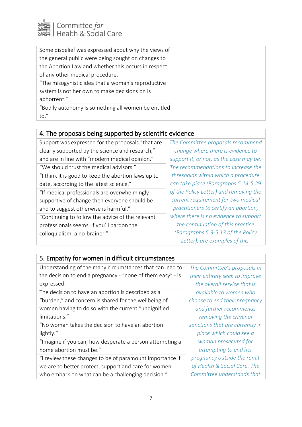

| Some disbelief was expressed about why the views of |
|-----------------------------------------------------|
| the general public were being sought on changes to  |
| the Abortion Law and whether this occurs in respect |
| of any other medical procedure.                     |
| "The misogynistic idea that a woman's reproductive  |
| system is not her own to make decisions on is       |
| abhorrent."                                         |
| "Bodily autonomy is something all women be entitled |
| to."                                                |

#### 4. The proposals being supported by scientific evidence

| Support was expressed for the proposals "that are   | The Committee proposals recommend       |
|-----------------------------------------------------|-----------------------------------------|
| clearly supported by the science and research,"     | change where there is evidence to       |
| and are in line with "modern medical opinion."      | support it, or not, as the case may be. |
| "We should trust the medical advisors."             | The recommendations to increase the     |
| "I think it is good to keep the abortion laws up to | thresholds within which a procedure     |
| date, according to the latest science."             | can take place (Paragraphs 5.14-5.29    |
| "If medical professionals are overwhelmingly        | of the Policy Letter) and removing the  |
| supportive of change then everyone should be        | current requirement for two medical     |
| and to suggest otherwise is harmful."               | practitioners to certify an abortion,   |
| "Continuing to follow the advice of the relevant    | where there is no evidence to support   |
| professionals seems, if you'll pardon the           | the continuation of this practice       |
| colloquialism, a no-brainer."                       | (Paragraphs 5.3-5.13 of the Policy      |
|                                                     | Letter), are examples of this.          |

#### 5. Empathy for women in difficult circumstances

Understanding of the many circumstances that can lead to the decision to end a pregnancy - "none of them easy" - is expressed.

The decision to have an abortion is described as a "burden," and concern is shared for the wellbeing of women having to do so with the current "undignified limitations."

"No woman takes the decision to have an abortion lightly."

"Imagine if you can, how desperate a person attempting a home abortion must be."

"I review these changes to be of paramount importance if we are to better protect, support and care for women who embark on what can be a challenging decision."

*The Committee's proposals in their entirety seek to improve the overall service that is available to women who choose to end their pregnancy and further recommends removing the criminal sanctions that are currently in place which could see a woman prosecuted for attempting to end her pregnancy outside the remit of Health & Social Care. The Committee understands that*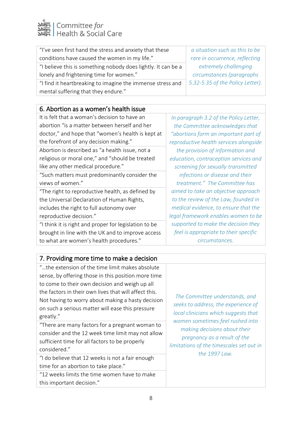

| "I've seen first hand the stress and anxiety that these       | a situation such as this to be   |
|---------------------------------------------------------------|----------------------------------|
| conditions have caused the women in my life."                 | rare in occurrence, reflecting   |
| "I believe this is something nobody does lightly. It can be a | extremely challenging            |
| lonely and frightening time for women."                       | circumstances (paragraphs        |
| "I find it heartbreaking to imagine the immense stress and    | 5.32-5.35 of the Policy Letter). |
| mental suffering that they endure."                           |                                  |

#### 6. Abortion as a women's health issue

| It is felt that a woman's decision to have an         | In $r$         |
|-------------------------------------------------------|----------------|
| abortion "is a matter between herself and her         | th             |
| doctor," and hope that "women's health is kept at     | ''ab           |
| the forefront of any decision making."                | repr           |
| Abortion is described as "a health issue, not a       | t              |
| religious or moral one," and "should be treated       | edu            |
| like any other medical procedure."                    | <b>SC</b>      |
| "Such matters must predominantly consider the         |                |
| views of women."                                      | t <sub>l</sub> |
| "The right to reproductive health, as defined by      | aim            |
| the Universal Declaration of Human Rights,            | to t           |
| includes the right to full autonomy over              | me             |
| reproductive decision."                               | lega           |
| "I think it is right and proper for legislation to be | sup            |
| brought in line with the UK and to improve access     | fe             |
| to what are women's health procedures."               |                |
|                                                       |                |

*In paragraph 3.2 of the Policy Letter, the Committee acknowledges that "abortions form an important part of reproductive health services alongside the provision of information and education, contraception services and screening for sexually transmitted infections or disease and their treatment." The Committee has aimed to take an objective approach the review of the Law, founded in medical evidence, to ensure that the legal framework enables women to be supported to make the decision they feel is appropriate to their specific circumstances.*

#### 7. Providing more time to make a decision

"…the extension of the time limit makes absolute sense, by offering those in this position more time to come to their own decision and weigh up all the factors in their own lives that will affect this. Not having to worry about making a hasty decision on such a serious matter will ease this pressure greatly."

"There are many factors for a pregnant woman to consider and the 12 week time limit may not allow sufficient time for all factors to be properly considered."

"I do believe that 12 weeks is not a fair enough time for an abortion to take place."

"12 weeks limits the time women have to make this important decision."

*The Committee understands, and seeks to address, the experience of local clinicians which suggests that women sometimes feel rushed into making decisions about their pregnancy as a result of the limitations of the timescales set out in the 1997 Law.*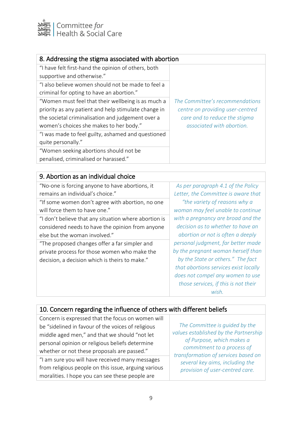

| 8. Addressing the stigma associated with abortion    |                                                                                                                                   |
|------------------------------------------------------|-----------------------------------------------------------------------------------------------------------------------------------|
| "I have felt first-hand the opinion of others, both  |                                                                                                                                   |
| supportive and otherwise."                           |                                                                                                                                   |
| "I also believe women should not be made to feel a   |                                                                                                                                   |
| criminal for opting to have an abortion."            |                                                                                                                                   |
| "Women must feel that their wellbeing is as much a   | The Committee's recommendations<br>centre on providing user-centred<br>care and to reduce the stigma<br>associated with abortion. |
| priority as any patient and help stimulate change in |                                                                                                                                   |
| the societal criminalisation and judgement over a    |                                                                                                                                   |
| women's choices she makes to her body."              |                                                                                                                                   |
| "I was made to feel guilty, ashamed and questioned   |                                                                                                                                   |
| quite personally."                                   |                                                                                                                                   |
| "Women seeking abortions should not be               |                                                                                                                                   |
| penalised, criminalised or harassed."                |                                                                                                                                   |
|                                                      |                                                                                                                                   |
| 0. Abortion as an individual choice                  |                                                                                                                                   |

| 9. Abortion as an individual choice                   |                                       |
|-------------------------------------------------------|---------------------------------------|
| "No-one is forcing anyone to have abortions, it       | As per paragraph 4.1 of the Policy    |
| remains an individual's choice."                      | Letter, the Committee is aware that   |
| "If some women don't agree with abortion, no one      | "the variety of reasons why a         |
| will force them to have one."                         | woman may feel unable to continue     |
| "I don't believe that any situation where abortion is | with a pregnancy are broad and the    |
| considered needs to have the opinion from anyone      | decision as to whether to have an     |
| else but the woman involved."                         | abortion or not is often a deeply     |
| "The proposed changes offer a far simpler and         | personal judgment, far better made    |
| private process for those women who make the          | by the pregnant woman herself than    |
| decision, a decision which is theirs to make."        | by the State or others." The fact     |
|                                                       | that abortions services exist locally |
|                                                       | does not compel any women to use      |
|                                                       | those services, if this is not their  |
|                                                       | wish.                                 |
|                                                       |                                       |

# 10. Concern regarding the influence of others with different beliefs

| Concern is expressed that the focus on women will    |                                                                                                                                                                                                                                                 |
|------------------------------------------------------|-------------------------------------------------------------------------------------------------------------------------------------------------------------------------------------------------------------------------------------------------|
| be "sidelined in favour of the voices of religious   | The Committee is guided by the<br>values established by the Partnership<br>of Purpose, which makes a<br>commitment to a process of<br>transformation of services based on<br>several key aims, including the<br>provision of user-centred care. |
| middle aged men," and that we should "not let        |                                                                                                                                                                                                                                                 |
| personal opinion or religious beliefs determine      |                                                                                                                                                                                                                                                 |
| whether or not these proposals are passed."          |                                                                                                                                                                                                                                                 |
| "I am sure you will have received many messages      |                                                                                                                                                                                                                                                 |
| from religious people on this issue, arguing various |                                                                                                                                                                                                                                                 |
| moralities. I hope you can see these people are      |                                                                                                                                                                                                                                                 |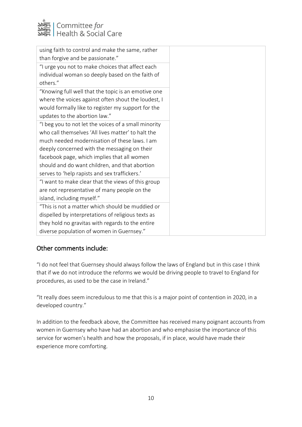

| using faith to control and make the same, rather     |
|------------------------------------------------------|
| than forgive and be passionate."                     |
| "I urge you not to make choices that affect each     |
| individual woman so deeply based on the faith of     |
| others."                                             |
| "Knowing full well that the topic is an emotive one  |
| where the voices against often shout the loudest, I  |
| would formally like to register my support for the   |
| updates to the abortion law."                        |
| "I beg you to not let the voices of a small minority |
| who call themselves 'All lives matter' to halt the   |
| much needed modernisation of these laws. I am        |
| deeply concerned with the messaging on their         |
| facebook page, which implies that all women          |
| should and do want children, and that abortion       |
| serves to 'help rapists and sex traffickers.'        |
| "I want to make clear that the views of this group   |
| are not representative of many people on the         |
| island, including myself."                           |
| "This is not a matter which should be muddied or     |
| dispelled by interpretations of religious texts as   |
| they hold no gravitas with regards to the entire     |
| diverse population of women in Guernsey."            |

#### Other comments include:

"I do not feel that Guernsey should always follow the laws of England but in this case I think that if we do not introduce the reforms we would be driving people to travel to England for procedures, as used to be the case in Ireland."

"It really does seem incredulous to me that this is a major point of contention in 2020, in a developed country."

In addition to the feedback above, the Committee has received many poignant accounts from women in Guernsey who have had an abortion and who emphasise the importance of this service for women's health and how the proposals, if in place, would have made their experience more comforting.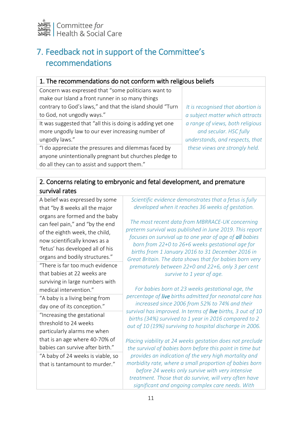

# 7. Feedback not in support of the Committee's recommendations

| 1. The recommendations do not conform with religious beliefs |                                   |  |
|--------------------------------------------------------------|-----------------------------------|--|
| Concern was expressed that "some politicians want to         |                                   |  |
| make our Island a front runner in so many things             |                                   |  |
| contrary to God's laws," and that the island should "Turn    | It is recognised that abortion is |  |
| to God, not ungodly ways."                                   | a subject matter which attracts   |  |
| It was suggested that "all this is doing is adding yet one   | a range of views, both religious  |  |
| more ungodly law to our ever increasing number of            | and secular. HSC fully            |  |
| ungodly laws."                                               | understands, and respects, that   |  |
| "I do appreciate the pressures and dilemmas faced by         | these views are strongly held.    |  |
| anyone unintentionally pregnant but churches pledge to       |                                   |  |
| do all they can to assist and support them."                 |                                   |  |

#### 2. Concerns relating to embryonic and fetal development, and premature survival rates

A belief was expressed by some that "by 8 weeks all the major organs are formed and the baby can feel pain," and "by the end of the eighth week, the child, now scientifically knows as a 'fetus' has developed all of his organs and bodily structures." "There is far too much evidence

that babies at 22 weeks are surviving in large numbers with medical intervention."

"A baby is a living being from day one of its conception." "Increasing the gestational

threshold to 24 weeks particularly alarms me when that is an age where 40-70% of babies can survive after birth."

"A baby of 24 weeks is viable, so that is tantamount to murder."

*Scientific evidence demonstrates that a fetus is fully developed when it reaches 36 weeks of gestation.*

*The most recent data from MBRRACE-UK concerning preterm survival was published in June 2019. This report focuses on survival up to one year of age of all babies born from 22+0 to 26+6 weeks gestational age for births from 1 January 2016 to 31 December 2016 in Great Britain. The data shows that for babies born very prematurely between 22+0 and 22+6, only 3 per cent survive to 1 year of age.*

*For babies born at 23 weeks gestational age, the percentage of live births admitted for neonatal care has increased since 2006 from 52% to 74% and their survival has improved. In terms of live births, 3 out of 10 births (34%) survived to 1 year in 2016 compared to 2 out of 10 (19%) surviving to hospital discharge in 2006.*

*Placing viability at 24 weeks gestation does not preclude the survival of babies born before this point in time but provides an indication of the very high mortality and morbidity rate, where a small proportion of babies born before 24 weeks only survive with very intensive treatment. Those that do survive, will very often have significant and ongoing complex care needs. With*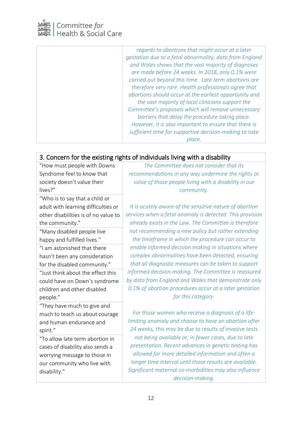

*regards to abortions that might occur at a later gestation due to a fetal abnormality, data from England and Wales shows that the vast majority of diagnoses are made before 24 weeks. In 2018, only 0.1% were carried out beyond this time. Late term abortions are therefore very rare. Health professionals agree that abortions should occur at the earliest opportunity and the vast majority of local clinicians support the Committee's proposals which will remove unnecessary barriers that delay the procedure taking place. However, it is also important to ensure that there is sufficient time for supportive decision-making to take place.*

# 3. Concern for the existing rights of individuals living with a disability

"How must people with Downs Syndrome feel to know that society doesn't value their lives?"

"Who is to say that a child or adult with learning difficulties or other disabilities is of no value to the community."

"Many disabled people live happy and fulfilled lives."

"I am astonished that there hasn't been any consideration for the disabled community."

"Just think about the effect this could have on Down's syndrome children and other disabled people."

"They have much to give and much to teach us about courage and human endurance and spirit."

"To allow late term abortion in cases of disability also sends a worrying message to those in our community who live with disability."

*The Committee does not consider that its recommendations in any way undermine the rights or value of those people living with a disability in our community.*

*It is acutely aware of the sensitive nature of abortion services when a fetal anomaly is detected. This provision already exists in the Law. The Committee is therefore not recommending a new policy but rather extending the timeframe in which the procedure can occur to enable informed decision making in situations where complex abnormalities have been detected, ensuring that all diagnostic measures can be taken to support informed decision-making. The Committee is reassured by data from England and Wales that demonstrate only 0.1% of abortion procedures occur at a later gestation for this category.*

*For those women who receive a diagnosis of a lifelimiting anomaly and choose to have an abortion after 24 weeks, this may be due to results of invasive tests not being available or, in fewer cases, due to late presentation. Recent advances in genetic testing has allowed for more detailed information and often a longer time interval until those results are available. Significant maternal co-morbidities may also influence decision-making.*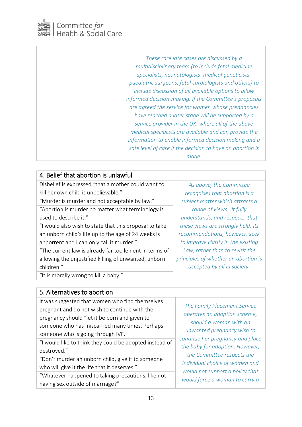

*These rare late cases are discussed by a multidisciplinary team (to include fetal medicine specialists, neonatologists, medical geneticists, paediatric surgeons, fetal cardiologists and others) to include discussion of all available options to allow informed decision-making. If the Committee's proposals are agreed the service for women whose pregnancies have reached a later stage will be supported by a service provider in the UK, where all of the above medical specialists are available and can provide the information to enable informed decision making and a safe level of care if the decision to have an abortion is made.*

| 4. Belief that abortion is unlawful                     |                                      |
|---------------------------------------------------------|--------------------------------------|
| Disbelief is expressed "that a mother could want to     | As above, the Committee              |
| kill her own child is unbelievable."                    | recognises that abortion is a        |
| "Murder is murder and not acceptable by law."           | subject matter which attracts a      |
| "Abortion is murder no matter what terminology is       | range of views. It fully             |
| used to describe it."                                   | understands, and respects, that      |
| "I would also wish to state that this proposal to take  | these views are strongly held. Its   |
| an unborn child's life up to the age of 24 weeks is     | recommendations, however, seek       |
| abhorrent and I can only call it murder."               | to improve clarity in the existing   |
| "The current law is already far too lenient in terms of | Law, rather than to revisit the      |
| allowing the unjustified killing of unwanted, unborn    | principles of whether an abortion is |
| children."                                              | accepted by all in society.          |
| "It is morally wrong to kill a baby."                   |                                      |

#### 5. Alternatives to abortion

| It was suggested that women who find themselves<br>pregnant and do not wish to continue with the<br>pregnancy should "let it be born and given to<br>someone who has miscarried many times. Perhaps<br>someone who is going through IVF."<br>"I would like to think they could be adopted instead of<br>destroyed." | The Family Placement Service<br>operates an adoption scheme,<br>should a woman with an<br>unwanted pregnancy wish to<br>continue her pregnancy and place<br>the baby for adoption. However, |
|---------------------------------------------------------------------------------------------------------------------------------------------------------------------------------------------------------------------------------------------------------------------------------------------------------------------|---------------------------------------------------------------------------------------------------------------------------------------------------------------------------------------------|
| "Don't murder an unborn child, give it to someone                                                                                                                                                                                                                                                                   | the Committee respects the                                                                                                                                                                  |
| who will give it the life that it deserves."                                                                                                                                                                                                                                                                        | individual choice of women and                                                                                                                                                              |
| "Whatever happened to taking precautions, like not                                                                                                                                                                                                                                                                  | would not support a policy that                                                                                                                                                             |
| having sex outside of marriage?"                                                                                                                                                                                                                                                                                    | would force a woman to carry a                                                                                                                                                              |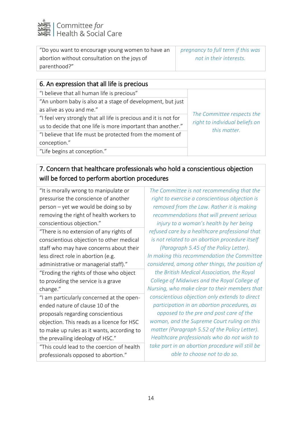

| "Do you want to encourage young women to have an | pregnancy to full term if this was |
|--------------------------------------------------|------------------------------------|
| abortion without consultation on the joys of     | not in their interests.            |
| parenthood?"                                     |                                    |

| 6. An expression that all life is precious                        |                                |
|-------------------------------------------------------------------|--------------------------------|
| "I believe that all human life is precious"                       |                                |
| "An unborn baby is also at a stage of development, but just       |                                |
| as alive as you and me."                                          | The Committee respects the     |
| "I feel very strongly that all life is precious and it is not for | right to individual beliefs on |
| us to decide that one life is more important than another."       | this matter.                   |
| "I believe that life must be protected from the moment of         |                                |
| conception."                                                      |                                |
| "Life begins at conception."                                      |                                |
|                                                                   |                                |

## 7. Concern that healthcare professionals who hold a conscientious objection will be forced to perform abortion procedures

"It is morally wrong to manipulate or pressurise the conscience of another person – yet we would be doing so by removing the right of health workers to conscientious objection."

"There is no extension of any rights of conscientious objection to other medical staff who may have concerns about their less direct role in abortion (e.g. administrative or managerial staff)."

"Eroding the rights of those who object to providing the service is a grave change."

"I am particularly concerned at the openended nature of clause 10 of the proposals regarding conscientious objection. This reads as a licence for HSC to make up rules as it wants, according to the prevailing ideology of HSC."

"This could lead to the coercion of health professionals opposed to abortion."

*The Committee is not recommending that the right to exercise a conscientious objection is removed from the Law. Rather it is making recommendations that will prevent serious injury to a woman's health by her being refused care by a healthcare professional that is not related to an abortion procedure itself (Paragraph 5.45 of the Policy Letter). In making this recommendation the Committee considered, among other things, the position of the British Medical Association, the Royal College of Midwives and the Royal College of Nursing, who make clear to their members that conscientious objection only extends to direct participation in an abortion procedures, as opposed to the pre and post care of the woman, and the Supreme Court ruling on this matter (Paragraph 5.52 of the Policy Letter). Healthcare professionals who do not wish to take part in an abortion procedure will still be able to choose not to do so.*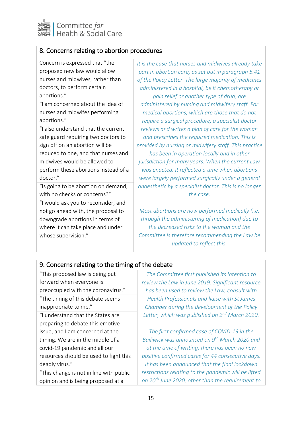

| 8. Concerns relating to abortion procedures                                                                                                       |                                                                                                                                                 |
|---------------------------------------------------------------------------------------------------------------------------------------------------|-------------------------------------------------------------------------------------------------------------------------------------------------|
| Concern is expressed that "the                                                                                                                    | It is the case that nurses and midwives already take                                                                                            |
| proposed new law would allow                                                                                                                      | part in abortion care, as set out in paragraph 5.41                                                                                             |
| nurses and midwives, rather than                                                                                                                  | of the Policy Letter. The large majority of medicines                                                                                           |
| doctors, to perform certain                                                                                                                       | administered in a hospital, be it chemotherapy or                                                                                               |
| abortions."                                                                                                                                       | pain relief or another type of drug, are                                                                                                        |
| "I am concerned about the idea of                                                                                                                 | administered by nursing and midwifery staff. For                                                                                                |
| nurses and midwifes performing                                                                                                                    | medical abortions, which are those that do not                                                                                                  |
| abortions."                                                                                                                                       | require a surgical procedure, a specialist doctor                                                                                               |
| "I also understand that the current                                                                                                               | reviews and writes a plan of care for the woman                                                                                                 |
| safe guard requiring two doctors to                                                                                                               | and prescribes the required medication. This is                                                                                                 |
| sign off on an abortion will be                                                                                                                   | provided by nursing or midwifery staff. This practice                                                                                           |
| reduced to one, and that nurses and                                                                                                               | has been in operation locally and in other                                                                                                      |
| midwives would be allowed to                                                                                                                      | jurisdiction for many years. When the current Law                                                                                               |
| perform these abortions instead of a                                                                                                              | was enacted, it reflected a time when abortions                                                                                                 |
| doctor."                                                                                                                                          | were largely performed surgically under a general                                                                                               |
| "Is going to be abortion on demand,                                                                                                               | anaesthetic by a specialist doctor. This is no longer                                                                                           |
| with no checks or concerns?"                                                                                                                      | the case.                                                                                                                                       |
| "I would ask you to reconsider, and<br>not go ahead with, the proposal to<br>downgrade abortions in terms of<br>where it can take place and under | Most abortions are now performed medically (i.e.<br>through the administering of medication) due to<br>the decreased risks to the woman and the |

*Committee is therefore recommending the Law be updated to reflect this.*

#### 9. Concerns relating to the timing of the debate

"This proposed law is being put forward when everyone is preoccupied with the coronavirus." "The timing of this debate seems inappropriate to me." "I understand that the States are preparing to debate this emotive issue, and I am concerned at the timing. We are in the middle of a covid-19 pandemic and all our resources should be used to fight this deadly virus." "This change is not in line with public

opinion and is being proposed at a

whose supervision."

*The Committee first published its intention to review the Law in June 2019. Significant resource has been used to review the Law, consult with Health Professionals and liaise with St James Chamber during the development of the Policy Letter, which was published on 2nd March 2020.*

*The first confirmed case of COVID-19 in the Bailiwick was announced on 9th March 2020 and at the time of writing, there has been no new positive confirmed cases for 44 consecutive days. It has been announced that the final lockdown restrictions relating to the pandemic will be lifted on 20th June 2020, other than the requirement to*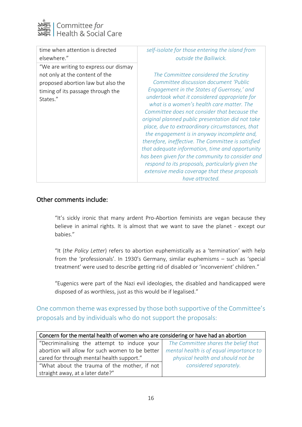

| time when attention is directed                                                                                                                                | self-isolate for those entering the island from                                                                                                                                                                                                                                                                                                                                                                                                                                                                                                                                                                                                                                                                       |
|----------------------------------------------------------------------------------------------------------------------------------------------------------------|-----------------------------------------------------------------------------------------------------------------------------------------------------------------------------------------------------------------------------------------------------------------------------------------------------------------------------------------------------------------------------------------------------------------------------------------------------------------------------------------------------------------------------------------------------------------------------------------------------------------------------------------------------------------------------------------------------------------------|
| elsewhere."                                                                                                                                                    | outside the Bailiwick.                                                                                                                                                                                                                                                                                                                                                                                                                                                                                                                                                                                                                                                                                                |
| "We are writing to express our dismay<br>not only at the content of the<br>proposed abortion law but also the<br>timing of its passage through the<br>States." | The Committee considered the Scrutiny<br>Committee discussion document 'Public<br>Engagement in the States of Guernsey,' and<br>undertook what it considered appropriate for<br>what is a women's health care matter. The<br>Committee does not consider that because the<br>original planned public presentation did not take<br>place, due to extraordinary circumstances, that<br>the engagement is in anyway incomplete and,<br>therefore, ineffective. The Committee is satisfied<br>that adequate information, time and opportunity<br>has been given for the community to consider and<br>respond to its proposals, particularly given the<br>extensive media coverage that these proposals<br>have attracted. |

#### Other comments include:

"It's sickly ironic that many ardent Pro-Abortion feminists are vegan because they believe in animal rights. It is almost that we want to save the planet - except our babies."

"It (*the Policy Letter*) refers to abortion euphemistically as a 'termination' with help from the 'professionals'. In 1930's Germany, similar euphemisms – such as 'special treatment' were used to describe getting rid of disabled or 'inconvenient' children."

"Eugenics were part of the Nazi evil ideologies, the disabled and handicapped were disposed of as worthless, just as this would be if legalised."

#### One common theme was expressed by those both supportive of the Committee's proposals and by individuals who do not support the proposals:

| Concern for the mental health of women who are considering or have had an abortion |                                         |  |
|------------------------------------------------------------------------------------|-----------------------------------------|--|
| "Decriminalising the attempt to induce your                                        | The Committee shares the belief that    |  |
| abortion will allow for such women to be better                                    | mental health is of equal importance to |  |
| cared for through mental health support."                                          | physical health and should not be       |  |
| "What about the trauma of the mother, if not                                       | considered separately.                  |  |
| straight away, at a later date?"                                                   |                                         |  |